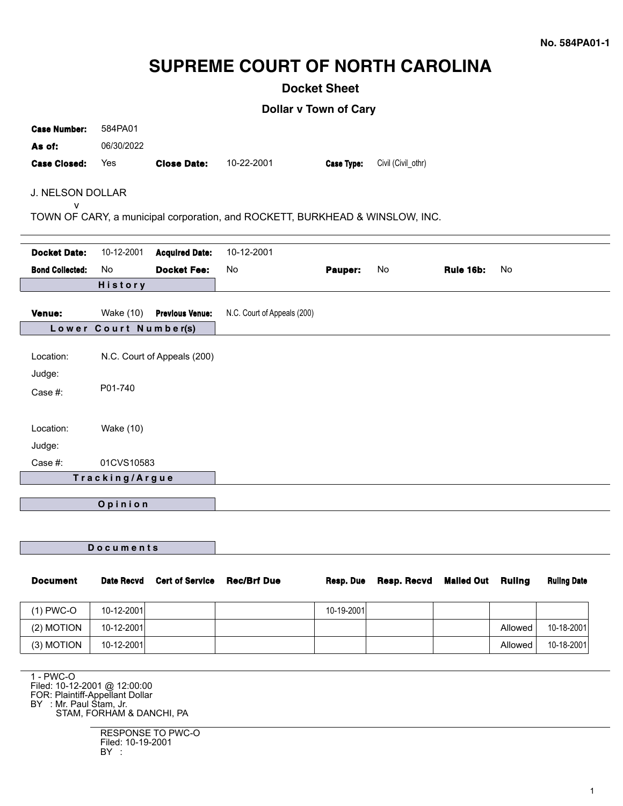# **SUPREME COURT OF NORTH CAROLINA**

**Docket Sheet**

**Dollar v Town of Cary**

| <b>Case Number:</b><br>As of:<br><b>Case Closed:</b>                              | 584PA01<br>06/30/2022<br>Yes | <b>Close Date:</b>     | 10-22-2001                  | Case Type: | Civil (Civil_othr) |           |    |  |
|-----------------------------------------------------------------------------------|------------------------------|------------------------|-----------------------------|------------|--------------------|-----------|----|--|
| J. NELSON DOLLAR                                                                  |                              |                        |                             |            |                    |           |    |  |
| v<br>TOWN OF CARY, a municipal corporation, and ROCKETT, BURKHEAD & WINSLOW, INC. |                              |                        |                             |            |                    |           |    |  |
| <b>Docket Date:</b>                                                               | 10-12-2001                   | <b>Acquired Date:</b>  | 10-12-2001                  |            |                    |           |    |  |
| <b>Bond Collected:</b>                                                            | No                           | <b>Docket Fee:</b>     | No                          | Pauper:    | No                 | Rule 16b: | No |  |
|                                                                                   | History                      |                        |                             |            |                    |           |    |  |
| Venue:                                                                            | <b>Wake (10)</b>             | <b>Previous Venue:</b> | N.C. Court of Appeals (200) |            |                    |           |    |  |
| Lower Court Number(s)                                                             |                              |                        |                             |            |                    |           |    |  |
| Location:                                                                         | N.C. Court of Appeals (200)  |                        |                             |            |                    |           |    |  |
| Judge:<br>Case #:                                                                 | P01-740                      |                        |                             |            |                    |           |    |  |
| Location:                                                                         | <b>Wake (10)</b>             |                        |                             |            |                    |           |    |  |
| Judge:                                                                            |                              |                        |                             |            |                    |           |    |  |
| Case #:<br>01CVS10583<br>Tracking/Argue                                           |                              |                        |                             |            |                    |           |    |  |
|                                                                                   |                              |                        |                             |            |                    |           |    |  |
| Opinion                                                                           |                              |                        |                             |            |                    |           |    |  |
|                                                                                   |                              |                        |                             |            |                    |           |    |  |
|                                                                                   |                              |                        |                             |            |                    |           |    |  |

**D o c u m e n t s**

| <b>Document</b> | Date Recvd | <b>Cert of Service</b> | <b>Rec/Brf Due</b> | Resp. Due  | Resp. Recvd Mailed Out Ruling |         | <b>Ruling Date</b> |
|-----------------|------------|------------------------|--------------------|------------|-------------------------------|---------|--------------------|
| $(1)$ PWC-O     | 10-12-2001 |                        |                    | 10-19-2001 |                               |         |                    |
| $(2)$ MOTION    | 10-12-2001 |                        |                    |            |                               | Allowed | 10-18-2001         |
| (3) MOTION      | 10-12-2001 |                        |                    |            |                               | Allowed | 10-18-2001         |

1 - PWC-O Filed: 10-12-2001 @ 12:00:00 FOR: Plaintiff-Appellant Dollar BY : Mr. Paul Stam, Jr. STAM, FORHAM & DANCHI, PA

> RESPONSE TO PWC-O Filed: 10-19-2001 BY :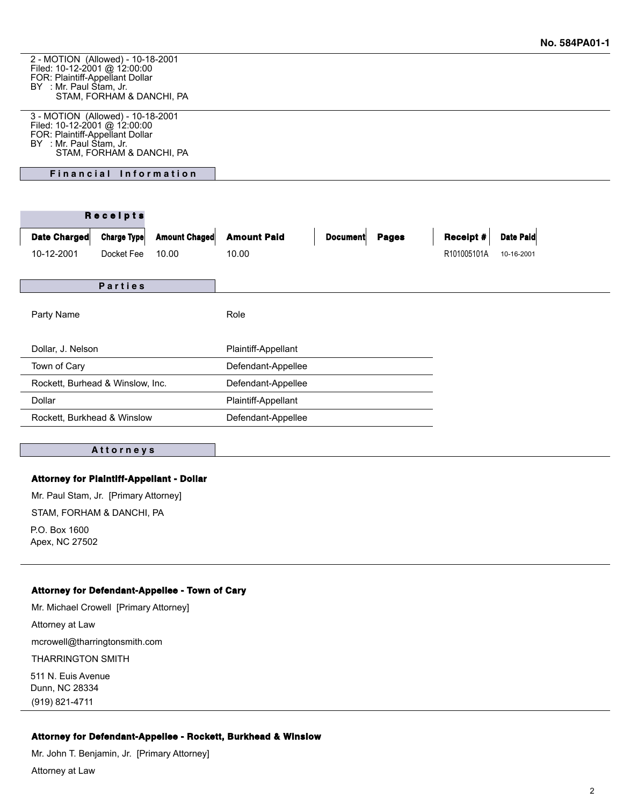2 - MOTION (Allowed) - 10-18-2001 Filed: 10-12-2001 @ 12:00:00 FOR: Plaintiff-Appellant Dollar BY : Mr. Paul Stam, Jr. STAM, FORHAM & DANCHI, PA

3 - MOTION (Allowed) - 10-18-2001 Filed: 10-12-2001 @ 12:00:00 FOR: Plaintiff-Appellant Dollar BY : Mr. Paul Stam, Jr. STAM, FORHAM & DANCHI, PA

**Financial Information** 

| Receipts                         |                    |                      |                     |                 |              |                  |            |
|----------------------------------|--------------------|----------------------|---------------------|-----------------|--------------|------------------|------------|
| Date Charged                     | <b>Charge Type</b> | <b>Amount Chaged</b> | <b>Amount Paid</b>  | <b>Document</b> | <b>Pages</b> | <b>Receipt #</b> | Date Paid  |
| 10-12-2001                       | Docket Fee         | 10.00                | 10.00               |                 |              | R101005101A      | 10-16-2001 |
|                                  |                    |                      |                     |                 |              |                  |            |
| <b>Parties</b>                   |                    |                      |                     |                 |              |                  |            |
|                                  |                    |                      |                     |                 |              |                  |            |
| Party Name                       |                    |                      | Role                |                 |              |                  |            |
|                                  |                    |                      |                     |                 |              |                  |            |
| Dollar, J. Nelson                |                    |                      | Plaintiff-Appellant |                 |              |                  |            |
| Town of Cary                     |                    |                      | Defendant-Appellee  |                 |              |                  |            |
| Rockett, Burhead & Winslow, Inc. |                    |                      | Defendant-Appellee  |                 |              |                  |            |
| Dollar                           |                    |                      | Plaintiff-Appellant |                 |              |                  |            |
| Rockett, Burkhead & Winslow      |                    |                      | Defendant-Appellee  |                 |              |                  |            |
|                                  |                    |                      |                     |                 |              |                  |            |

#### **A t t o r n e y s**

## **Attorney for Plaintiff-Appellant - Dollar**

Mr. Paul Stam, Jr. [Primary Attorney] STAM, FORHAM & DANCHI, PA P.O. Box 1600 Apex, NC 27502

### **Attorney for Defendant-Appellee - Town of Cary**

Mr. Michael Crowell [Primary Attorney] Attorney at Law mcrowell@tharringtonsmith.com THARRINGTON SMITH 511 N. Euis Avenue Dunn, NC 28334 (919) 821-4711

## **Attorney for Defendant-Appellee - Rockett, Burkhead & Winslow**

Mr. John T. Benjamin, Jr. [Primary Attorney]

Attorney at Law